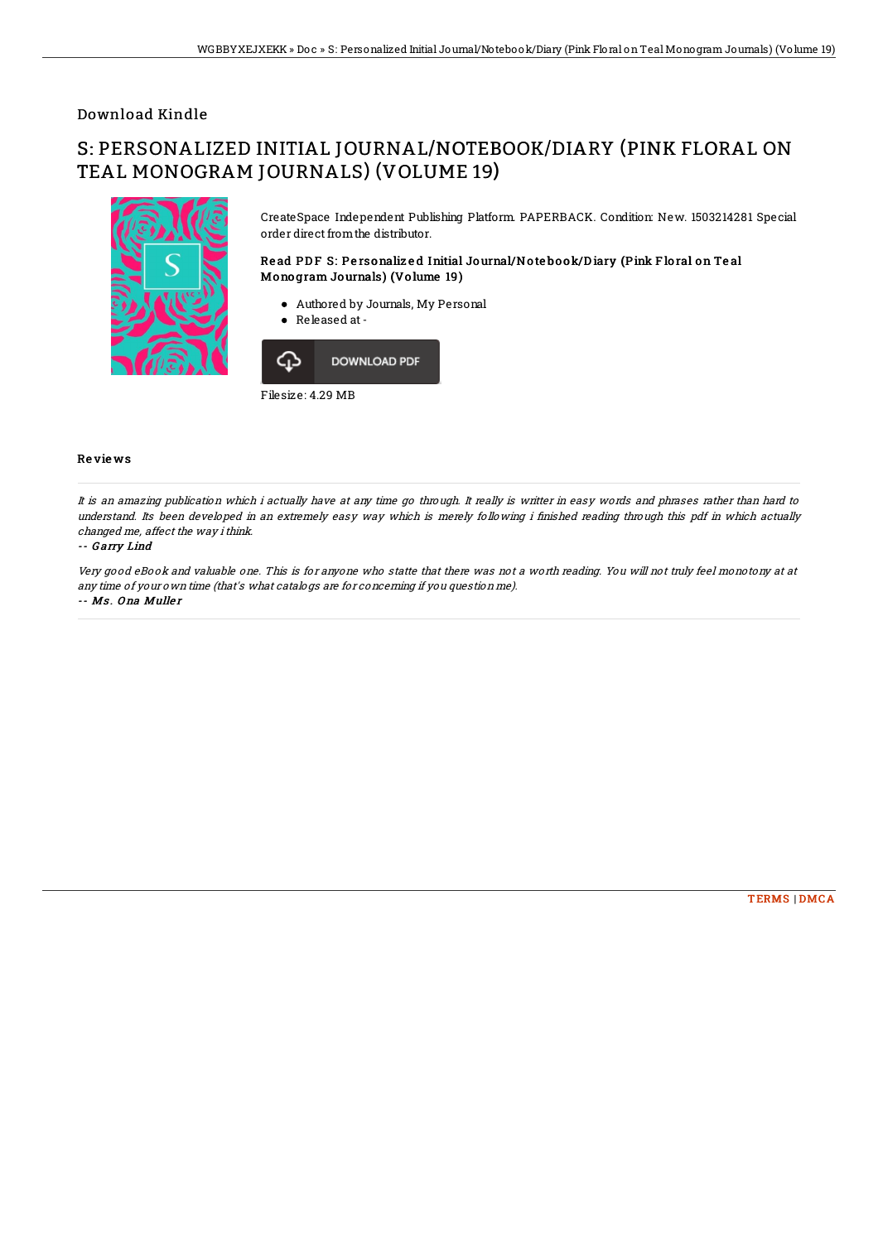## Download Kindle

# S: PERSONALIZED INITIAL JOURNAL/NOTEBOOK/DIARY (PINK FLORAL ON TEAL MONOGRAM JOURNALS) (VOLUME 19)



CreateSpace Independent Publishing Platform. PAPERBACK. Condition: New. 1503214281 Special order direct fromthe distributor.

### Read PDF S: Personalized Initial Journal/Notebook/Diary (Pink Floral on Teal Mono gram Journals) (Vo lume 19)

- Authored by Journals, My Personal
- Released at -



Filesize: 4.29 MB

### Re vie ws

It is an amazing publication which i actually have at any time go through. It really is writter in easy words and phrases rather than hard to understand. Its been developed in an extremely easy way which is merely following i finished reading through this pdf in which actually changed me, affect the way ithink.

#### -- G arry Lind

Very good eBook and valuable one. This is for anyone who statte that there was not <sup>a</sup> worth reading. You will not truly feel monotony at at any time of your own time (that's what catalogs are for concerning if you question me). -- Ms. Ona Muller